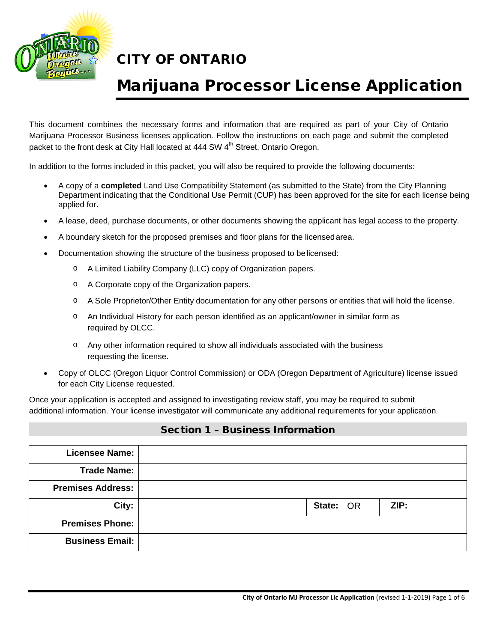

# Marijuana Processor License Application

This document combines the necessary forms and information that are required as part of your City of Ontario Marijuana Processor Business licenses application. Follow the instructions on each page and submit the completed packet to the front desk at City Hall located at 444 SW 4<sup>th</sup> Street, Ontario Oregon.

In addition to the forms included in this packet, you will also be required to provide the following documents:

- A copy of a **completed** Land Use Compatibility Statement (as submitted to the State) from the City Planning Department indicating that the Conditional Use Permit (CUP) has been approved for the site for each license being applied for.
- A lease, deed, purchase documents, or other documents showing the applicant has legal access to the property.
- A boundary sketch for the proposed premises and floor plans for the licensedarea.
- Documentation showing the structure of the business proposed to belicensed:
	- o A Limited Liability Company (LLC) copy of Organization papers.
	- o A Corporate copy of the Organization papers.
	- o A Sole Proprietor/Other Entity documentation for any other persons or entities that will hold the license.
	- o An Individual History for each person identified as an applicant/owner in similar form as required by OLCC.
	- o Any other information required to show all individuals associated with the business requesting the license.
- Copy of OLCC (Oregon Liquor Control Commission) or ODA (Oregon Department of Agriculture) license issued for each City License requested.

Once your application is accepted and assigned to investigating review staff, you may be required to submit additional information. Your license investigator will communicate any additional requirements for your application.

#### Section 1 – Business Information

| <b>Licensee Name:</b>    |  |             |      |  |
|--------------------------|--|-------------|------|--|
| <b>Trade Name:</b>       |  |             |      |  |
| <b>Premises Address:</b> |  |             |      |  |
| City:                    |  | State:   OR | ZIP: |  |
| <b>Premises Phone:</b>   |  |             |      |  |
| <b>Business Email:</b>   |  |             |      |  |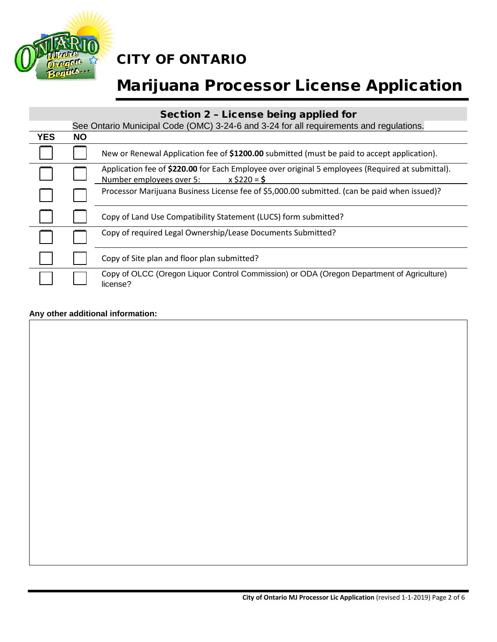

# Marijuana Processor License Application

#### Section 2 – License being applied for

|            |           | See Ontario Municipal Code (OMC) 3-24-6 and 3-24 for all requirements and regulations.                                                         |
|------------|-----------|------------------------------------------------------------------------------------------------------------------------------------------------|
| <b>YES</b> | <b>NO</b> |                                                                                                                                                |
|            |           | New or Renewal Application fee of \$1200.00 submitted (must be paid to accept application).                                                    |
|            |           | Application fee of \$220.00 for Each Employee over original 5 employees (Required at submittal).<br>Number employees over 5:<br>$x$ \$220 = \$ |
|            |           | Processor Marijuana Business License fee of \$5,000.00 submitted. (can be paid when issued)?                                                   |
|            |           | Copy of Land Use Compatibility Statement (LUCS) form submitted?                                                                                |
|            |           | Copy of required Legal Ownership/Lease Documents Submitted?                                                                                    |
|            |           | Copy of Site plan and floor plan submitted?                                                                                                    |
|            |           | Copy of OLCC (Oregon Liquor Control Commission) or ODA (Oregon Department of Agriculture)<br>license?                                          |

#### **Any other additional information:**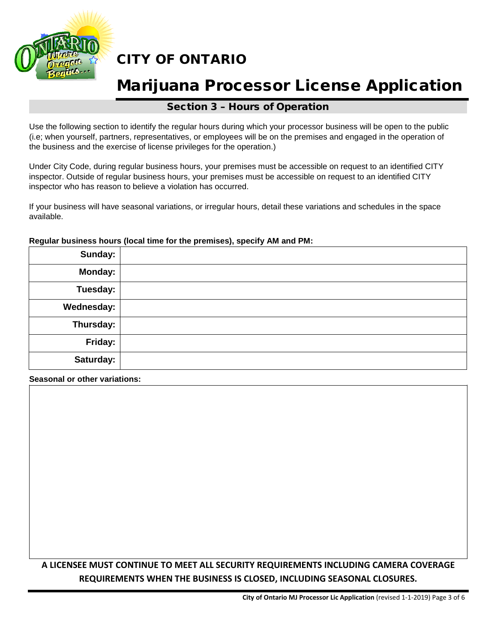

## Marijuana Processor License Application

#### Section 3 – Hours of Operation

Use the following section to identify the regular hours during which your processor business will be open to the public (i.e; when yourself, partners, representatives, or employees will be on the premises and engaged in the operation of the business and the exercise of license privileges for the operation.)

Under City Code, during regular business hours, your premises must be accessible on request to an identified CITY inspector. Outside of regular business hours, your premises must be accessible on request to an identified CITY inspector who has reason to believe a violation has occurred.

If your business will have seasonal variations, or irregular hours, detail these variations and schedules in the space available.

## **Sunday: Monday: Tuesday: Wednesday: Thursday: Friday: Saturday:**

#### **Regular business hours (local time for the premises), specify AM and PM:**

**Seasonal or other variations:**

#### **A LICENSEE MUST CONTINUE TO MEET ALL SECURITY REQUIREMENTS INCLUDING CAMERA COVERAGE REQUIREMENTS WHEN THE BUSINESS IS CLOSED, INCLUDING SEASONAL CLOSURES.**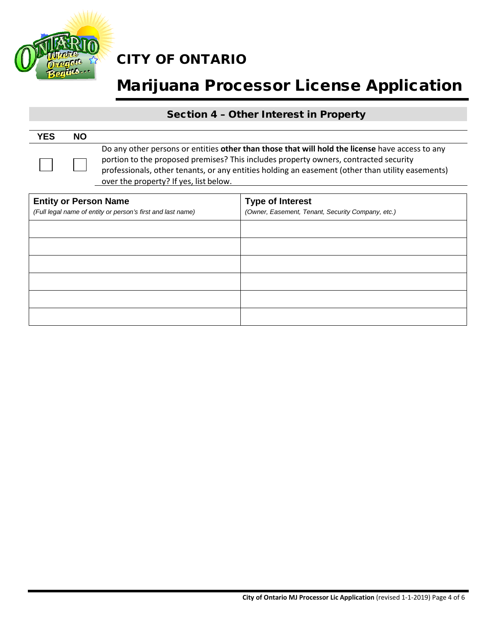

# Marijuana Processor License Application

#### Section 4 – Other Interest in Property

| <b>YES</b> | <b>NO</b> |                                                                                                                                                                                                                                                                                                                                       |
|------------|-----------|---------------------------------------------------------------------------------------------------------------------------------------------------------------------------------------------------------------------------------------------------------------------------------------------------------------------------------------|
|            |           | Do any other persons or entities other than those that will hold the license have access to any<br>portion to the proposed premises? This includes property owners, contracted security<br>professionals, other tenants, or any entities holding an easement (other than utility easements)<br>over the property? If yes, list below. |

| <b>Entity or Person Name</b><br>(Full legal name of entity or person's first and last name) | <b>Type of Interest</b><br>(Owner, Easement, Tenant, Security Company, etc.) |
|---------------------------------------------------------------------------------------------|------------------------------------------------------------------------------|
|                                                                                             |                                                                              |
|                                                                                             |                                                                              |
|                                                                                             |                                                                              |
|                                                                                             |                                                                              |
|                                                                                             |                                                                              |
|                                                                                             |                                                                              |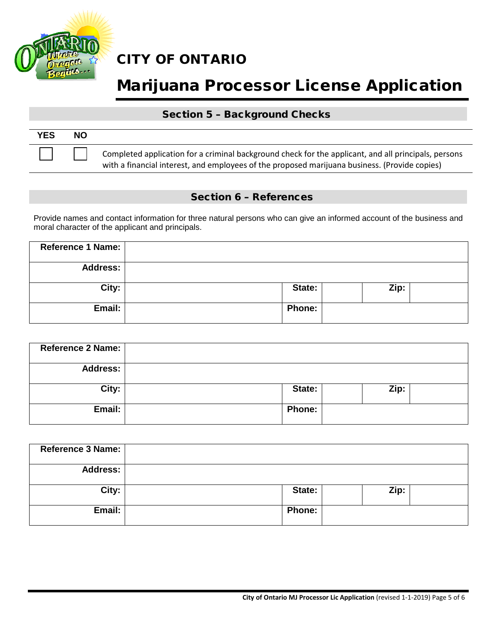

# Marijuana Processor License Application

#### Section 5 – Background Checks

| <b>YES</b> | <b>NO</b> |                                                                                                                                                                                                       |
|------------|-----------|-------------------------------------------------------------------------------------------------------------------------------------------------------------------------------------------------------|
|            |           | Completed application for a criminal background check for the applicant, and all principals, persons<br>with a financial interest, and employees of the proposed marijuana business. (Provide copies) |

#### Section 6 – References

Provide names and contact information for three natural persons who can give an informed account of the business and moral character of the applicant and principals.

| Reference 1 Name: |               |      |  |
|-------------------|---------------|------|--|
| <b>Address:</b>   |               |      |  |
| City:             | State:        | Zip: |  |
| Email:            | <b>Phone:</b> |      |  |

| Reference 2 Name: |               |      |  |
|-------------------|---------------|------|--|
| <b>Address:</b>   |               |      |  |
| City:             | State:        | Zip: |  |
| Email:            | <b>Phone:</b> |      |  |

| Reference 3 Name: |               |      |
|-------------------|---------------|------|
| <b>Address:</b>   |               |      |
| City:             | State:        | Zip: |
| Email:            | <b>Phone:</b> |      |